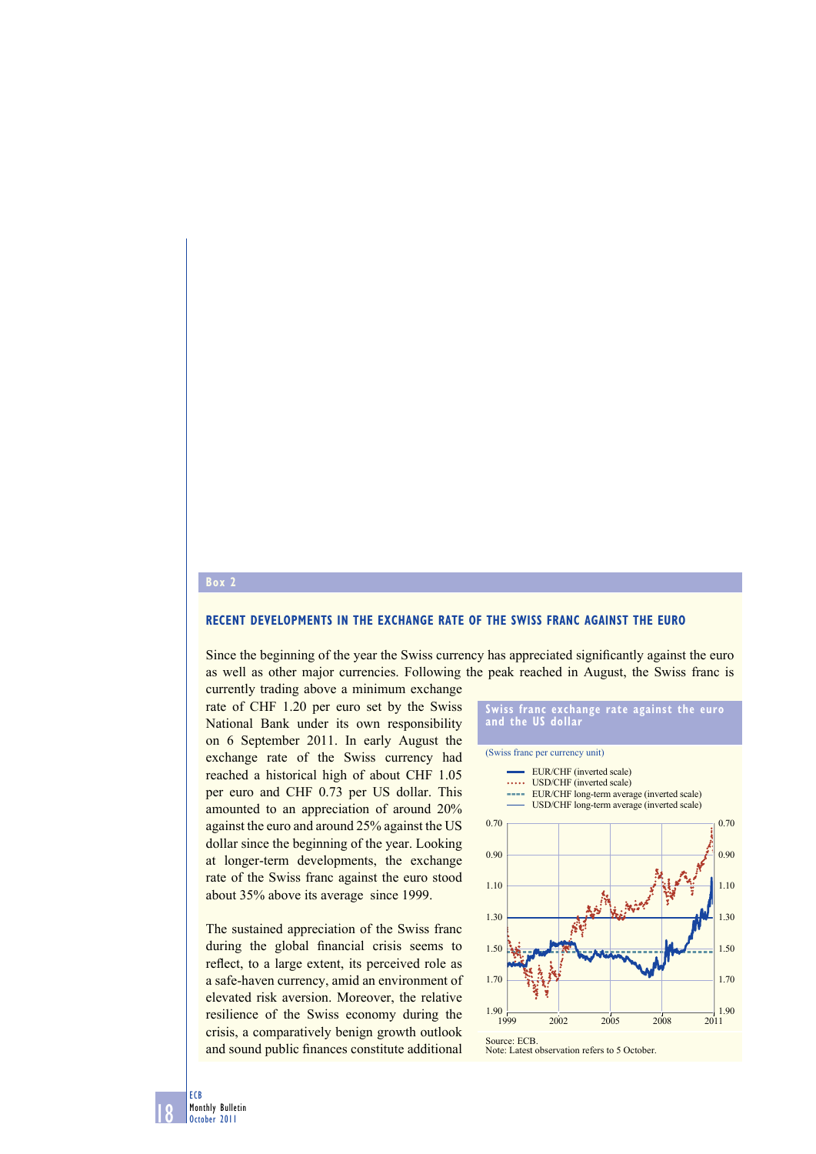## **Box 2**

## **RECENT DEVELOPMENTS IN THE EXCHANGE RATE OF THE SWISS FRANC AGAINST THE EURO**

Since the beginning of the year the Swiss currency has appreciated significantly against the euro as well as other major currencies. Following the peak reached in August, the Swiss franc is

currently trading above a minimum exchange rate of CHF 1.20 per euro set by the Swiss National Bank under its own responsibility on 6 September 2011. In early August the exchange rate of the Swiss currency had reached a historical high of about CHF 1.05 per euro and CHF 0.73 per US dollar. This amounted to an appreciation of around 20% against the euro and around 25% against the US dollar since the beginning of the year. Looking at longer-term developments, the exchange rate of the Swiss franc against the euro stood about 35% above its average since 1999.

The sustained appreciation of the Swiss franc during the global financial crisis seems to reflect, to a large extent, its perceived role as a safe-haven currency, amid an environment of elevated risk aversion. Moreover, the relative resilience of the Swiss economy during the crisis, a comparatively benign growth outlook and sound public finances constitute additional

## **Swiss franc exchange rate against the euro and the US dollar**

(Swiss franc per currency unit) EUR/CHF (inverted scale) ..... USD/CHF (inverted scale) EUR/CHF long-term average (inverted scale) **Service** USD/CHF long-term average (inverted scale) 0.70 0.70 0.90 0.90 1.10 1.10 1.30 1.30 1.50 1.50 1.70 1.70  $1.90 - 1.999$  $\frac{1}{2011}$  1.90 1999 2002 2005 2008 2011 Source: ECB. Note: Latest observation refers to 5 October

18 ECB Monthly Bulletin October 2011